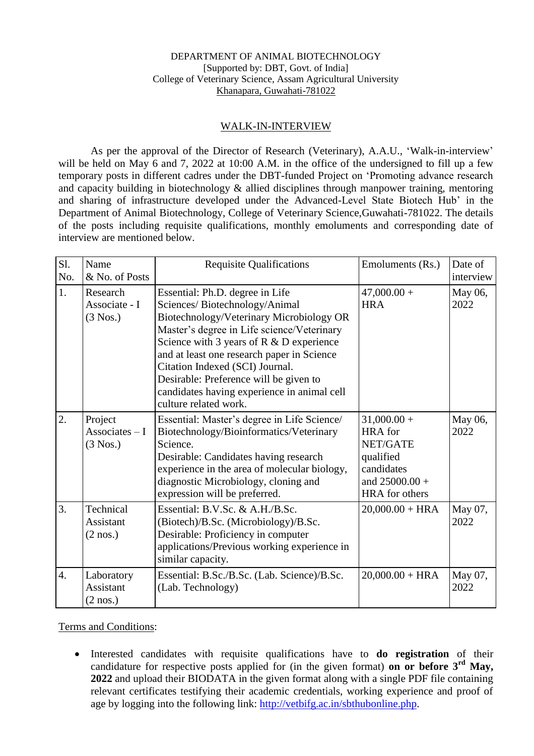## DEPARTMENT OF ANIMAL BIOTECHNOLOGY [Supported by: DBT, Govt. of India] College of Veterinary Science, Assam Agricultural University Khanapara, Guwahati-781022

## WALK-IN-INTERVIEW

As per the approval of the Director of Research (Veterinary), A.A.U., 'Walk-in-interview' will be held on May 6 and 7, 2022 at 10:00 A.M. in the office of the undersigned to fill up a few temporary posts in different cadres under the DBT-funded Project on 'Promoting advance research and capacity building in biotechnology & allied disciplines through manpower training, mentoring and sharing of infrastructure developed under the Advanced-Level State Biotech Hub' in the Department of Animal Biotechnology, College of Veterinary Science,Guwahati-781022. The details of the posts including requisite qualifications, monthly emoluments and corresponding date of interview are mentioned below.

| S1.              | Name                                          | <b>Requisite Qualifications</b>                                                                                                                                                                                                                                                                                                                                                                              | Emoluments (Rs.)                                                                                             | Date of         |
|------------------|-----------------------------------------------|--------------------------------------------------------------------------------------------------------------------------------------------------------------------------------------------------------------------------------------------------------------------------------------------------------------------------------------------------------------------------------------------------------------|--------------------------------------------------------------------------------------------------------------|-----------------|
| No.              | & No. of Posts                                |                                                                                                                                                                                                                                                                                                                                                                                                              |                                                                                                              | interview       |
| 1.               | Research<br>Associate - I<br>$(3$ Nos.)       | Essential: Ph.D. degree in Life<br>Sciences/Biotechnology/Animal<br>Biotechnology/Veterinary Microbiology OR<br>Master's degree in Life science/Veterinary<br>Science with 3 years of $R \& D$ experience<br>and at least one research paper in Science<br>Citation Indexed (SCI) Journal.<br>Desirable: Preference will be given to<br>candidates having experience in animal cell<br>culture related work. | $47,000.00+$<br><b>HRA</b>                                                                                   | May 06,<br>2022 |
| $\overline{2}$ . | Project<br>Associates $-I$<br>$(3$ Nos.)      | Essential: Master's degree in Life Science/<br>Biotechnology/Bioinformatics/Veterinary<br>Science.<br>Desirable: Candidates having research<br>experience in the area of molecular biology,<br>diagnostic Microbiology, cloning and<br>expression will be preferred.                                                                                                                                         | $31,000.00 +$<br><b>HRA</b> for<br>NET/GATE<br>qualified<br>candidates<br>and $25000.00 +$<br>HRA for others | May 06,<br>2022 |
| $\overline{3}$ . | Technical<br>Assistant<br>$(2 \text{ nos.})$  | Essential: B.V.Sc. & A.H./B.Sc.<br>(Biotech)/B.Sc. (Microbiology)/B.Sc.<br>Desirable: Proficiency in computer<br>applications/Previous working experience in<br>similar capacity.                                                                                                                                                                                                                            | $20,000.00 + HRA$                                                                                            | May 07,<br>2022 |
| $\overline{4}$ . | Laboratory<br>Assistant<br>$(2 \text{ nos.})$ | Essential: B.Sc./B.Sc. (Lab. Science)/B.Sc.<br>(Lab. Technology)                                                                                                                                                                                                                                                                                                                                             | $20,000.00 + HRA$                                                                                            | May 07,<br>2022 |

Terms and Conditions:

 Interested candidates with requisite qualifications have to **do registration** of their candidature for respective posts applied for (in the given format) **on or before 3rd May, 2022** and upload their BIODATA in the given format along with a single PDF file containing relevant certificates testifying their academic credentials, working experience and proof of age by logging into the following link: [http://vetbifg.ac.in/sbthubonline.php.](http://vetbifg.ac.in/sbthubonline.php)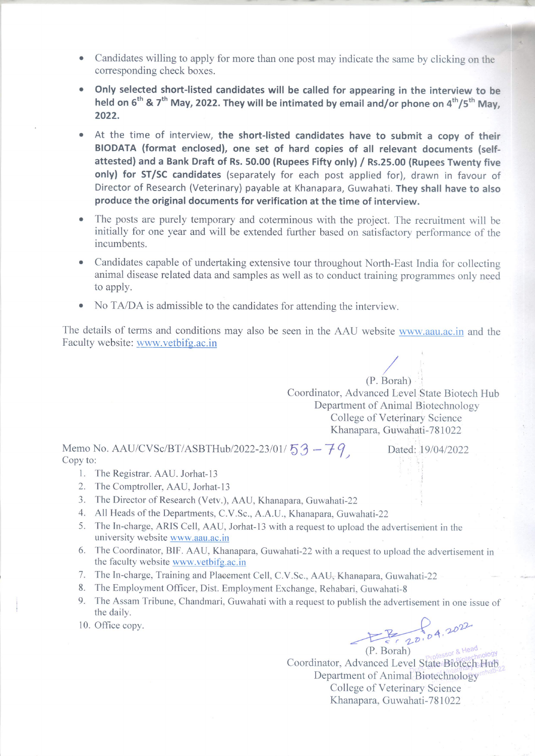- Candidates willing to apply for more than one post may indicate the same by clicking on the corresponding check boxes.
- Only selected short-listed candidates will be called for appearing in the interview to be held on 6<sup>th</sup> & 7<sup>th</sup> May, 2022. They will be intimated by email and/or phone on 4<sup>th</sup>/5<sup>th</sup> May, 2022.
- At the time of interview, the short-listed candidates have to submit a copy of their BIODATA (format enclosed), one set of hard copies of all relevant documents (selfattested) and a Bank Draft of Rs. 50.00 (Rupees Fifty only) / Rs.25.00 (Rupees Twenty five only) for ST/SC candidates (separately for each post applied for), drawn in favour of Director of Research (Veterinary) payable at Khanapara, Guwahati. They shall have to also produce the original documents for verification at the time of interview.
- The posts are purely temporary and coterminous with the project. The recruitment will be initially for one year and will be extended further based on satisfactory performance of the incumbents.
- Candidates capable of undertaking extensive tour throughout North-East India for collecting animal disease related data and samples as well as to conduct training programmes only need to apply.
- No TA/DA is admissible to the candidates for attending the interview.

The details of terms and conditions may also be seen in the AAU website www.aau.ac.in and the Faculty website: www.vetbifg.ac.in

> $(P. Borah)$ Coordinator, Advanced Level State Biotech Hub Department of Animal Biotechnology College of Veterinary Science Khanapara, Guwahati-781022

> > Dated: 19/04/2022

Memo No. AAU/CVSc/BT/ASBTHub/2022-23/01/53 - 79 Copy to:

- 1. The Registrar. AAU. Jorhat-13
- 2. The Comptroller, AAU, Jorhat-13
- 3. The Director of Research (Vetv.), AAU, Khanapara, Guwahati-22
- 4. All Heads of the Departments, C.V.Sc., A.A.U., Khanapara, Guwahati-22
- 5. The In-charge, ARIS Cell, AAU, Jorhat-13 with a request to upload the advertisement in the university website www.aau.ac.in
- 6. The Coordinator, BIF. AAU, Khanapara, Guwahati-22 with a request to upload the advertisement in the faculty website www.vetbifg.ac.in
- 7. The In-charge, Training and Plaeement Cell, C.V.Sc., AAU, Khanapara, Guwahati-22
- 8. The Employment Officer, Dist. Employment Exchange, Rehabari, Guwahati-8
- 9. The Assam Tribune, Chandmari, Guwahati with a request to publish the advertisement in one issue of the daily.
- 10. Office copy.

E 20,04.202

(P. Borah) Coordinator, Advanced Level State Biotech Hub Department of Animal Biotechnology College of Veterinary Science Khanapara, Guwahati-781022